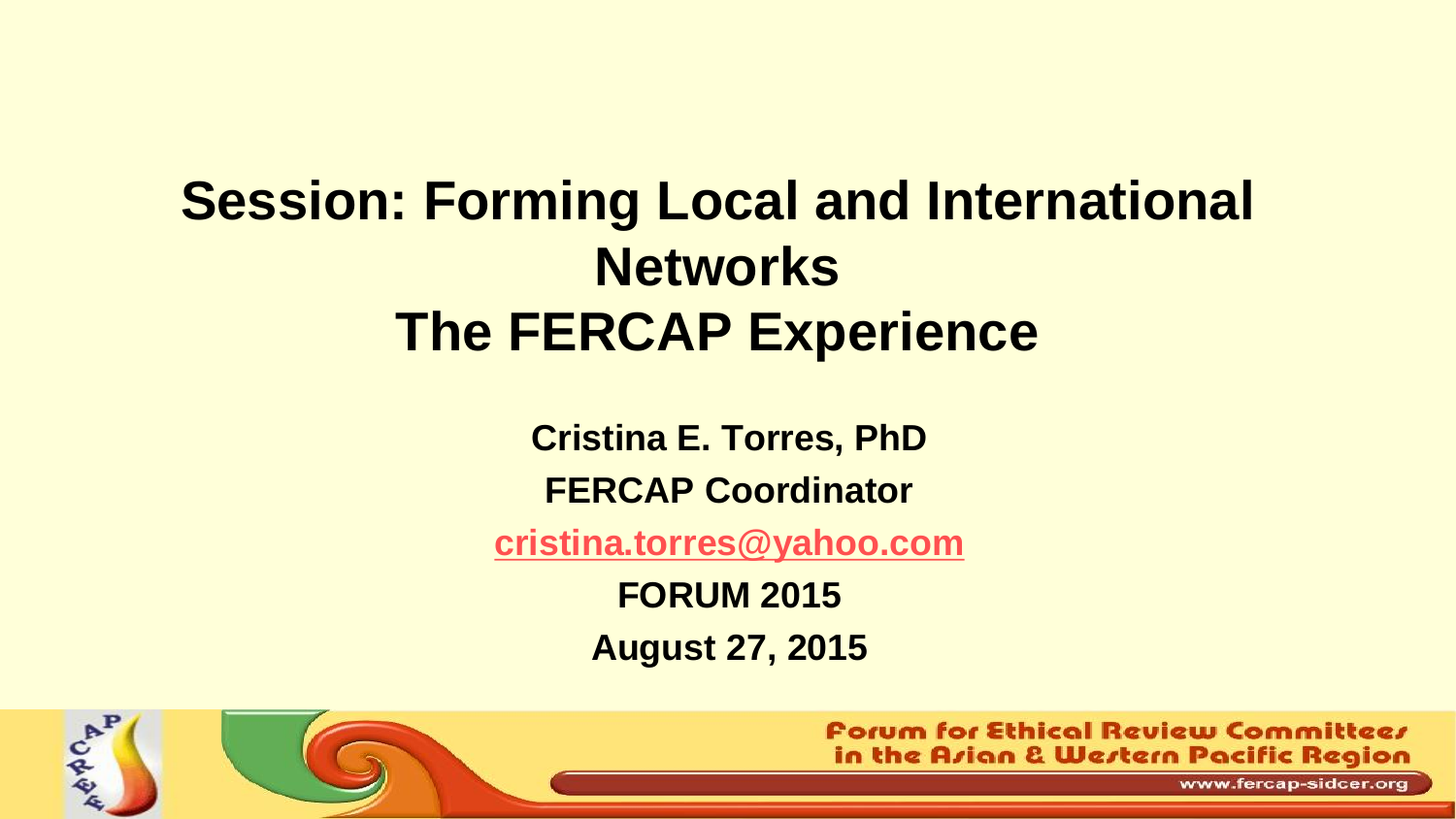## **Session: Forming Local and International Networks The FERCAP Experience**

**Cristina E. Torres, PhD**

**FERCAP Coordinator**

**[cristina.torres@yahoo.com](mailto:cristina.torres@yahoo.com)**

**FORUM 2015 August 27, 2015**



**Porum for Ethical Review Committeer** in the Arian & Wertern Pacific Region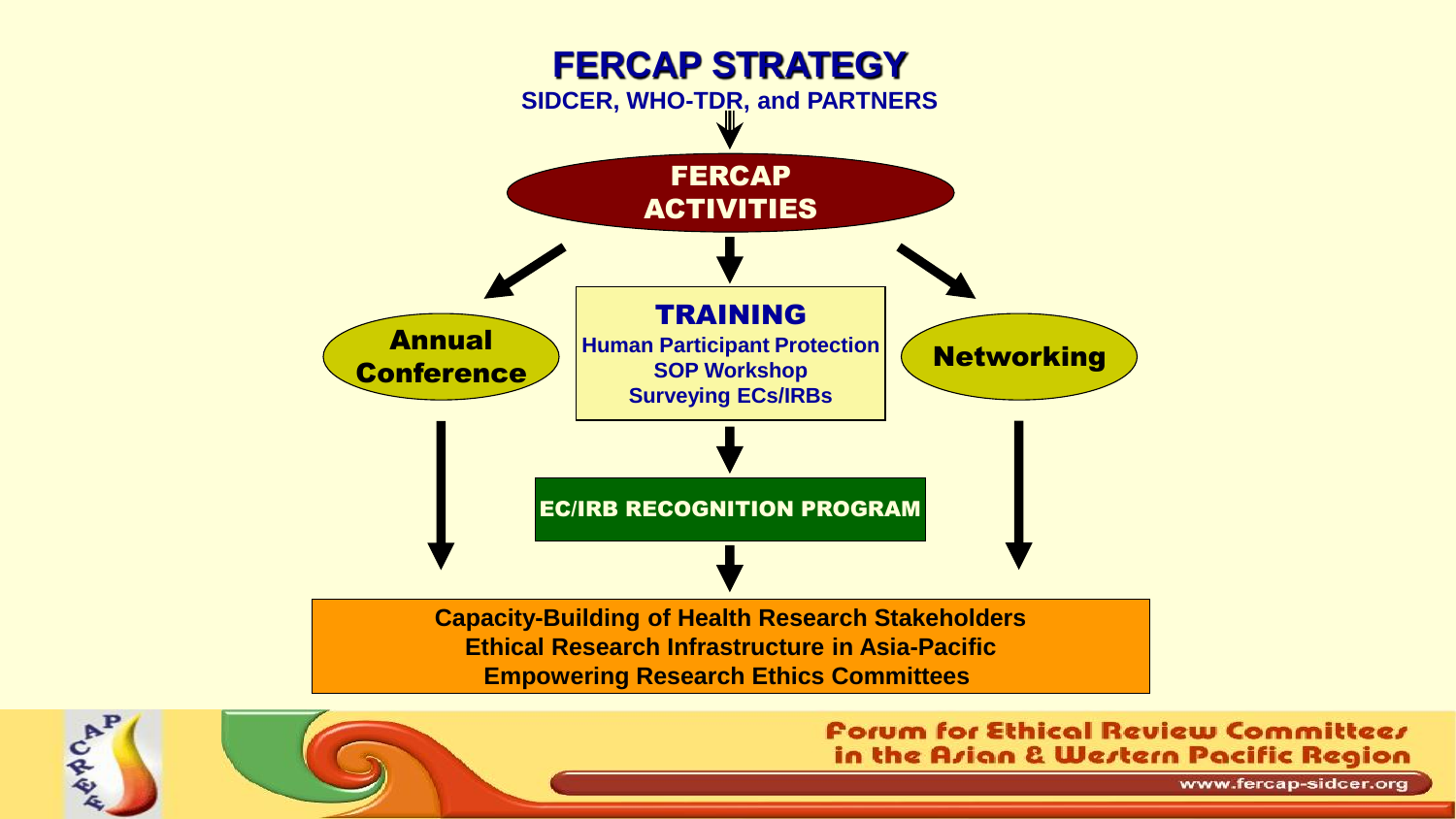

CARA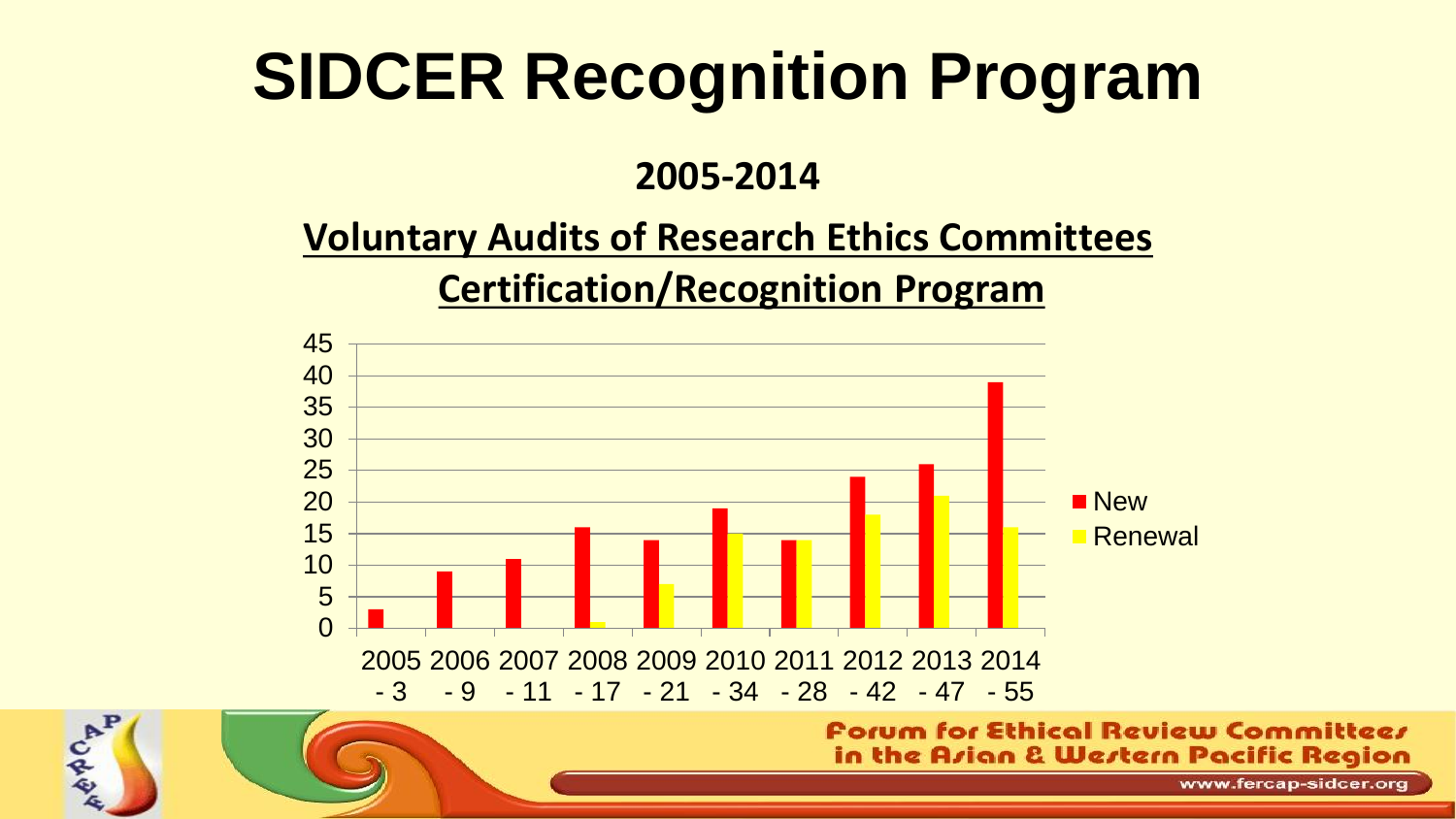# **SIDCER Recognition Program**

#### **2005-2014**

## **Voluntary Audits of Research Ethics Committees**

#### **Certification/Recognition Program**



CAP

in the Arian & Wertern Pacific Region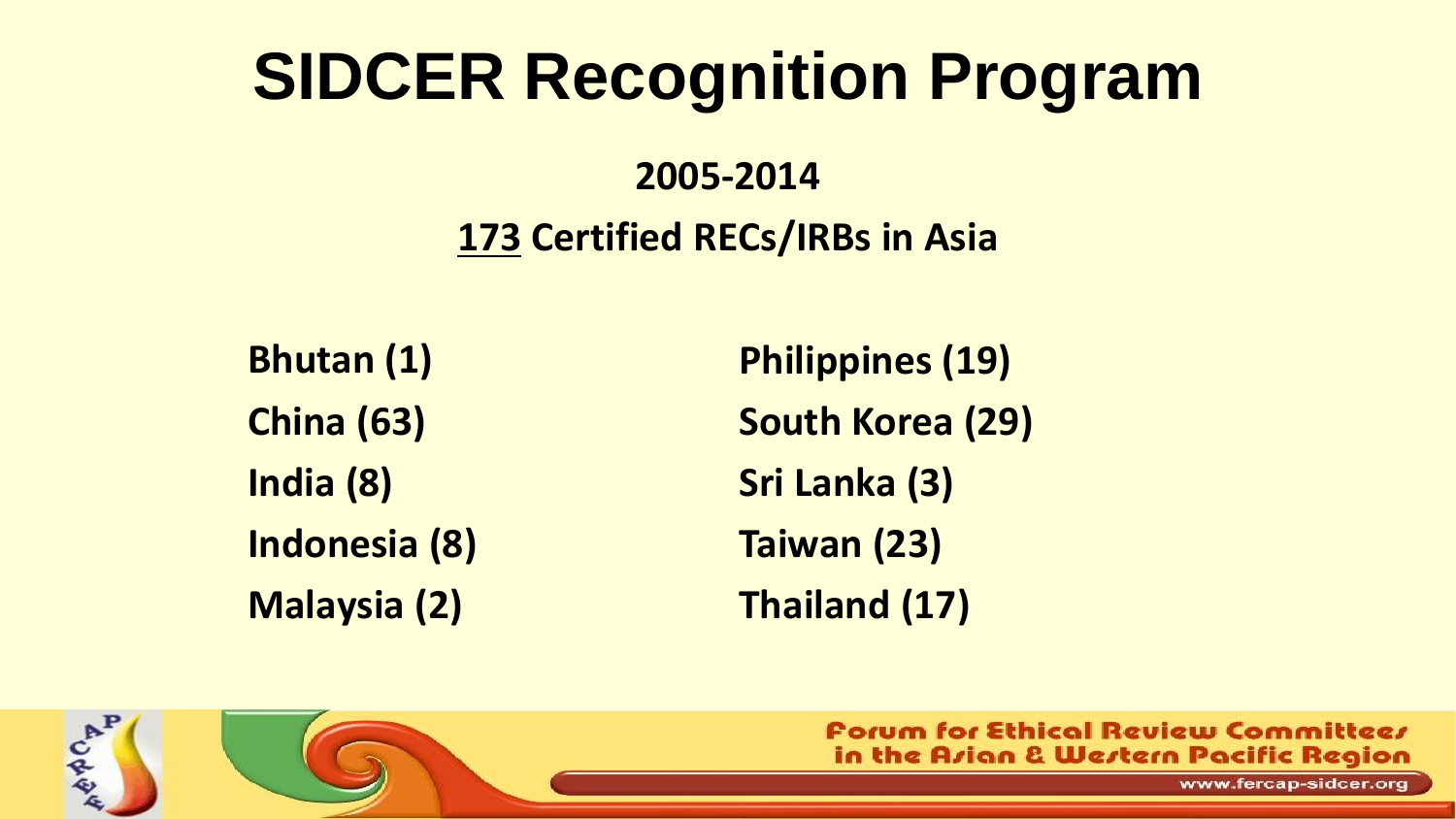# **SIDCER Recognition Program**

### **2005-2014 173 Certified RECs/IRBs in Asia**

**Bhutan (1) China (63) India (8) Indonesia (8) Malaysia (2)**

CAP

**Philippines (19) South Korea (29) Sri Lanka (3) Taiwan (23) Thailand (17)**

> **Porum for Ethical Review Committeer** in the Azian & Western Pacific Region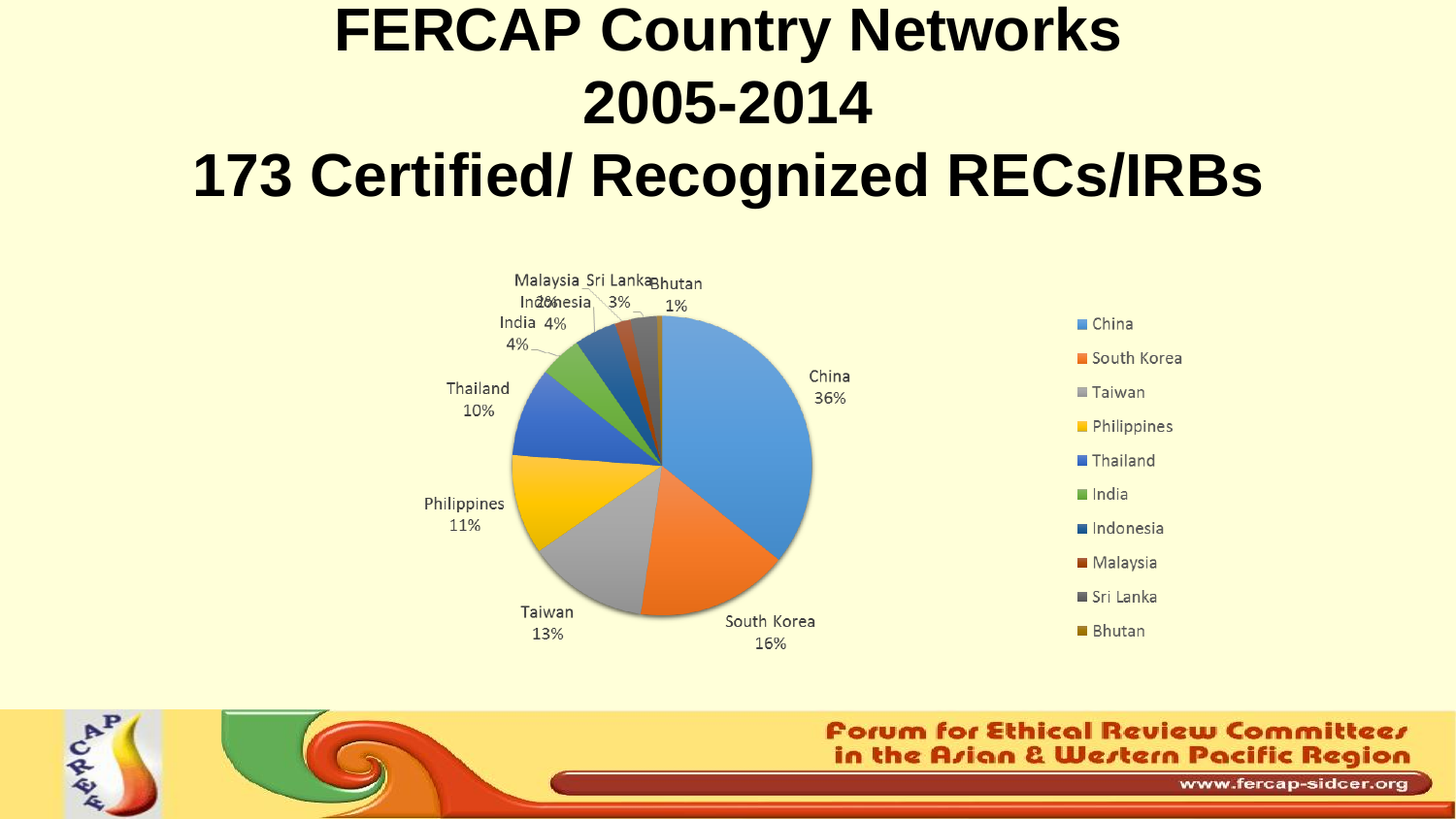## **FERCAP Country Networks 2005-2014 173 Certified/ Recognized RECs/IRBs**

**CAP** 



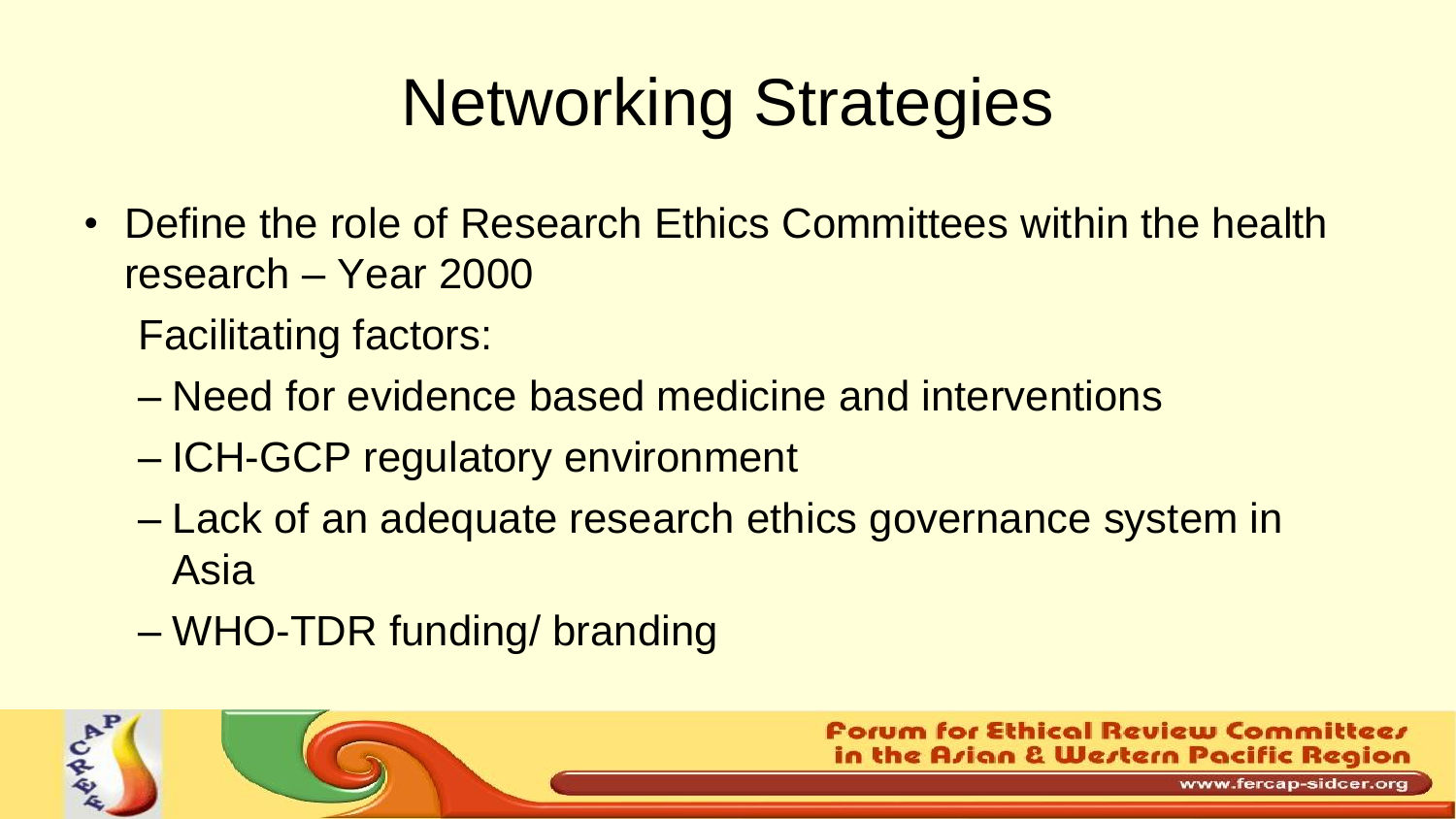# Networking Strategies

• Define the role of Research Ethics Committees within the health research – Year 2000

Facilitating factors:

- Need for evidence based medicine and interventions
- ICH-GCP regulatory environment
- Lack of an adequate research ethics governance system in Asia
- WHO-TDR funding/ branding

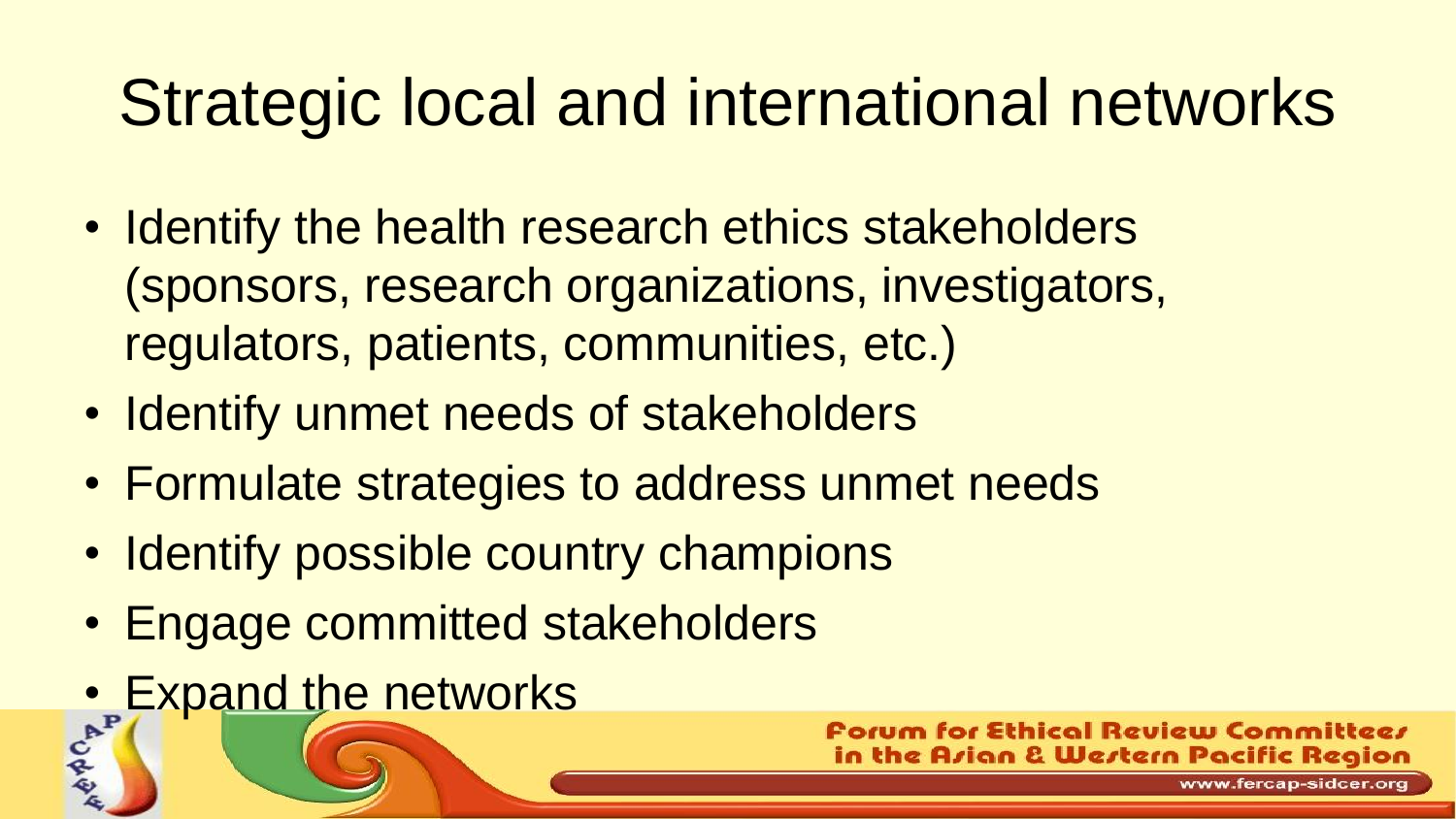# Strategic local and international networks

- Identify the health research ethics stakeholders (sponsors, research organizations, investigators, regulators, patients, communities, etc.)
- Identify unmet needs of stakeholders
- Formulate strategies to address unmet needs
- Identify possible country champions
- Engage committed stakeholders
- Expand the networks

for Ethical Review Committeer in the Azian & Western Pacific Region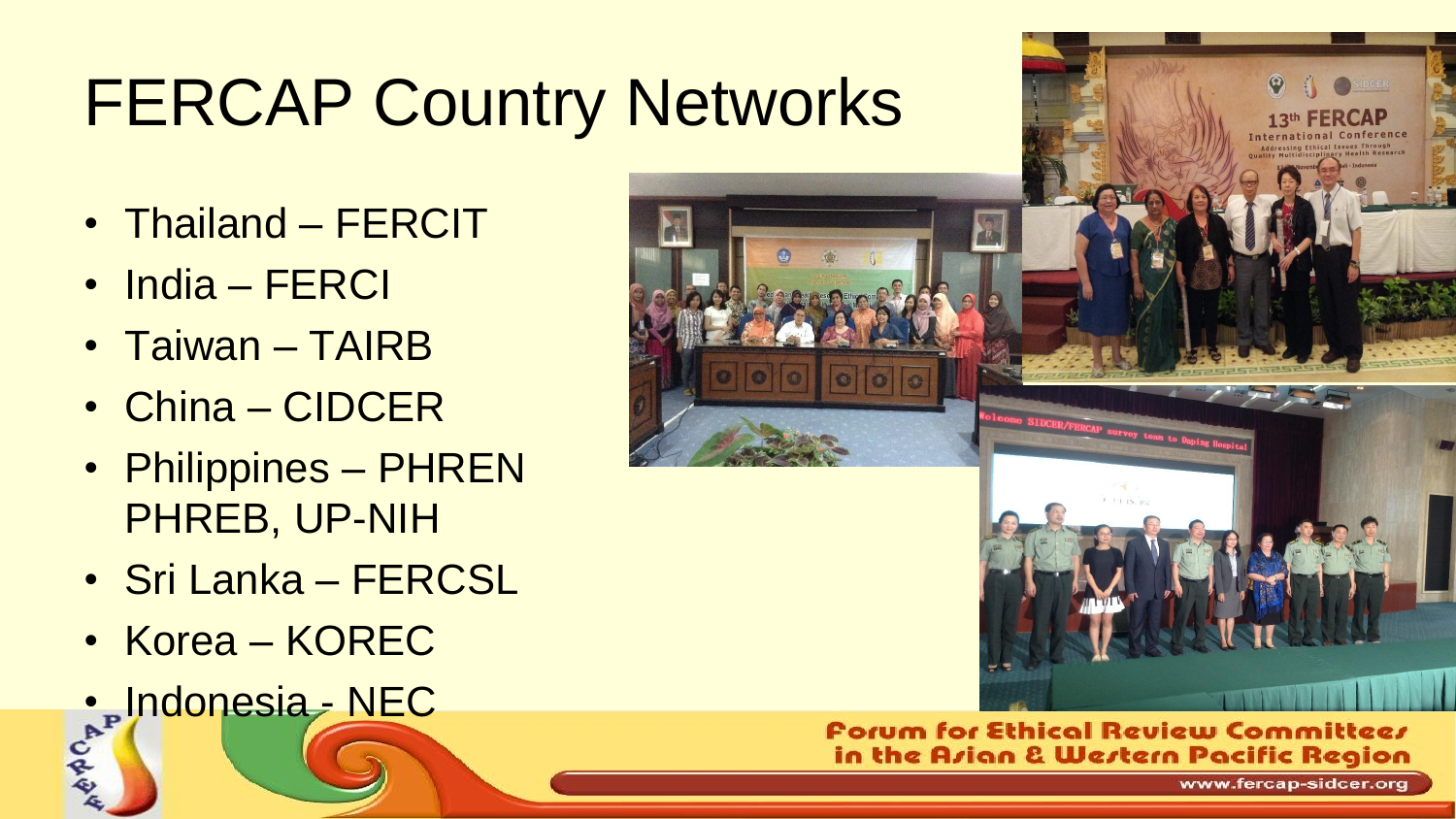# FERCAP Country Networks

- Thailand FERCIT
- India FERCI
- Taiwan TAIRB
- China CIDCER
- Philippines PHREN PHREB, UP-NIH
- Sri Lanka FERCSL
- Korea KOREC
- e<sup>t</sup> Indonesia NEC



#### **Forum for Ethical Review Committees** in the Arian & Wertern Pacific Region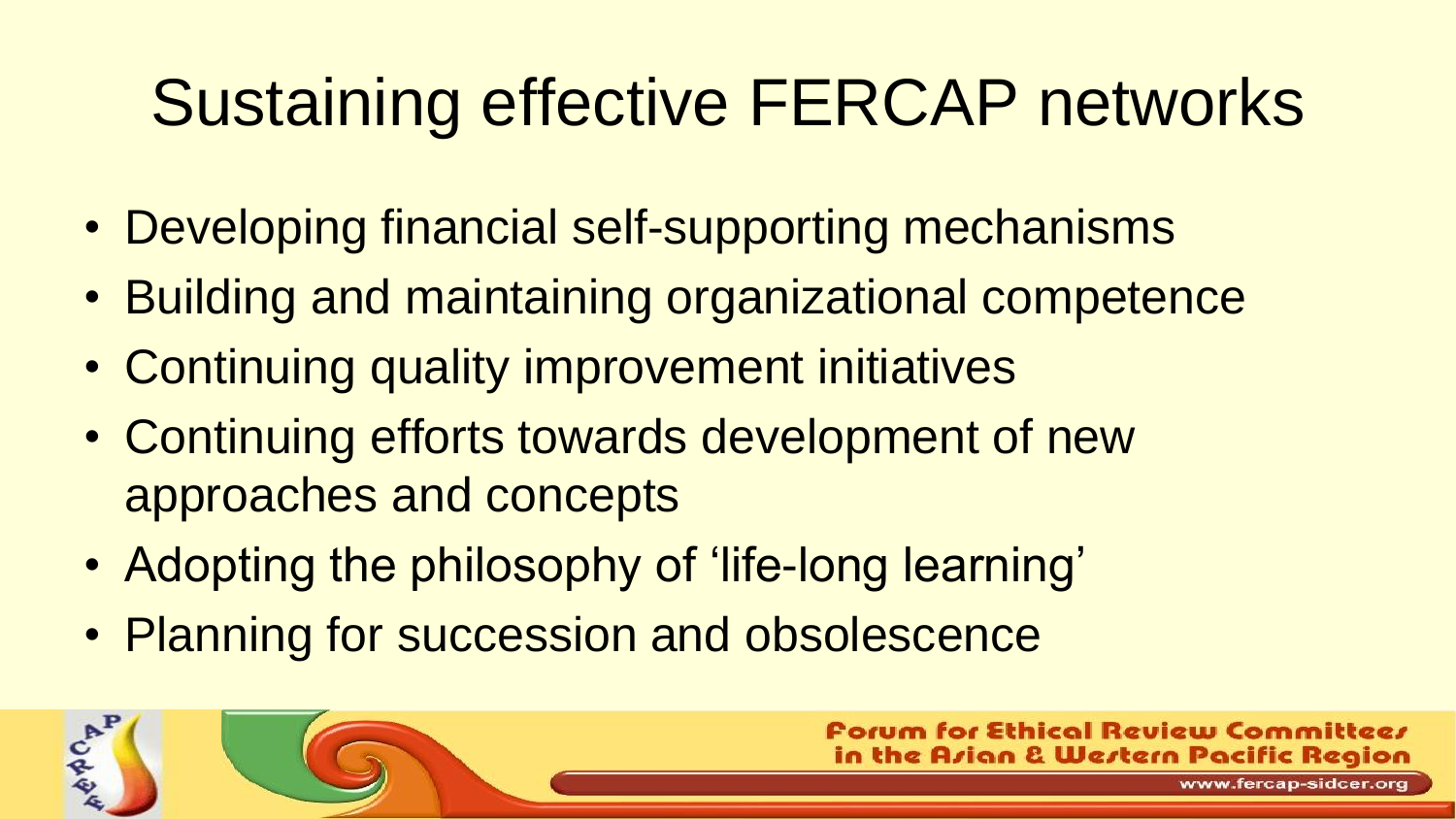# Sustaining effective FERCAP networks

- Developing financial self-supporting mechanisms
- Building and maintaining organizational competence
- Continuing quality improvement initiatives
- Continuing efforts towards development of new approaches and concepts
- Adopting the philosophy of 'life-long learning'
- Planning for succession and obsolescence